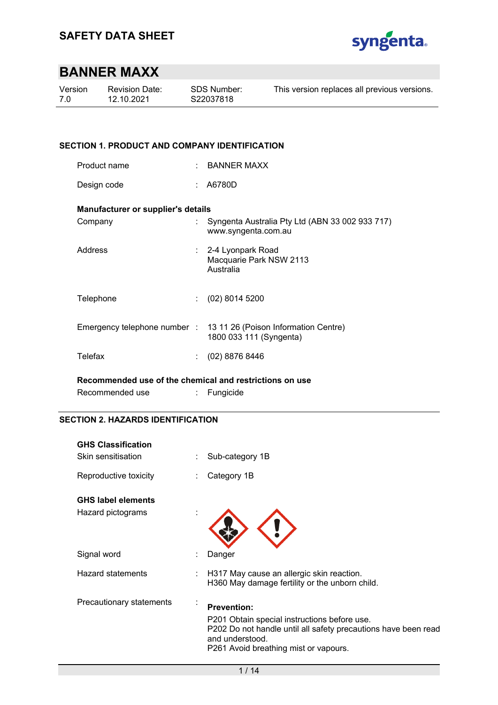

| Version | <b>Revision Date:</b> | <b>SDS Number:</b> | This version replaces all previous versions. |
|---------|-----------------------|--------------------|----------------------------------------------|
| -70     | 12.10.2021            | S22037818          |                                              |
|         |                       |                    |                                              |

### **SECTION 1. PRODUCT AND COMPANY IDENTIFICATION**

| Product name | BANNER MAXX |
|--------------|-------------|
|              |             |

Design code : A6780D

### **Manufacturer or supplier's details**

| Company   | Syngenta Australia Pty Ltd (ABN 33 002 933 717)<br>www.syngenta.com.au                       |
|-----------|----------------------------------------------------------------------------------------------|
| Address   | : 2-4 Lyonpark Road<br>Macquarie Park NSW 2113<br>Australia                                  |
| Telephone | $(02)$ 8014 5200                                                                             |
|           | Emergency telephone number : 13 11 26 (Poison Information Centre)<br>1800 033 111 (Syngenta) |
| Telefax   | $(02)$ 8876 8446                                                                             |
|           |                                                                                              |

**Recommended use of the chemical and restrictions on use** 

| Recommended use |  | Fungicide |
|-----------------|--|-----------|
|-----------------|--|-----------|

### **SECTION 2. HAZARDS IDENTIFICATION**

| <b>GHS Classification</b><br>Skin sensitisation | Sub-category 1B                                                                                                                                                                                  |
|-------------------------------------------------|--------------------------------------------------------------------------------------------------------------------------------------------------------------------------------------------------|
| Reproductive toxicity                           | Category 1B                                                                                                                                                                                      |
| <b>GHS label elements</b>                       |                                                                                                                                                                                                  |
| Hazard pictograms                               |                                                                                                                                                                                                  |
| Signal word                                     | Danger                                                                                                                                                                                           |
| <b>Hazard statements</b>                        | H317 May cause an allergic skin reaction.<br>H360 May damage fertility or the unborn child.                                                                                                      |
| Precautionary statements                        | <b>Prevention:</b><br>P201 Obtain special instructions before use.<br>P202 Do not handle until all safety precautions have been read<br>and understood.<br>P261 Avoid breathing mist or vapours. |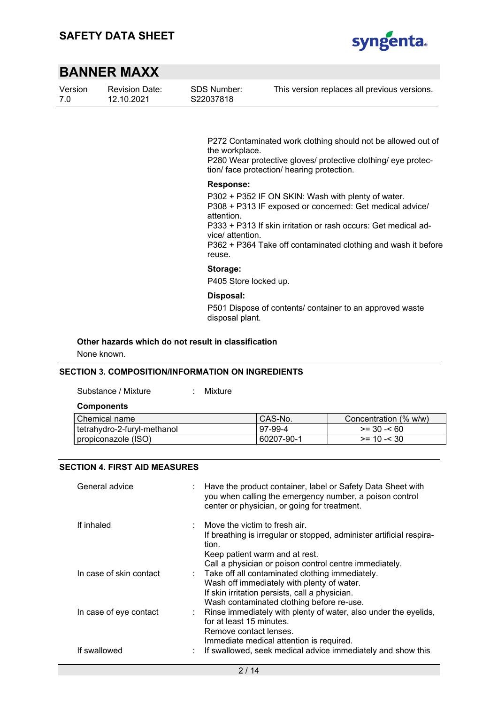

| Version | <b>Revision Date:</b> |
|---------|-----------------------|
| 7.0     | 12.10.2021            |

SDS Number: S22037818

This version replaces all previous versions.

P272 Contaminated work clothing should not be allowed out of the workplace.

P280 Wear protective gloves/ protective clothing/ eye protection/ face protection/ hearing protection.

#### **Response:**

P302 + P352 IF ON SKIN: Wash with plenty of water. P308 + P313 IF exposed or concerned: Get medical advice/ attention. P333 + P313 If skin irritation or rash occurs: Get medical ad-

vice/ attention.

P362 + P364 Take off contaminated clothing and wash it before reuse.

### **Storage:**

P405 Store locked up.

#### **Disposal:**

P501 Dispose of contents/ container to an approved waste disposal plant.

#### **Other hazards which do not result in classification**

None known.

### **SECTION 3. COMPOSITION/INFORMATION ON INGREDIENTS**

Substance / Mixture : Mixture

## **Components**

| l Chemical name               | CAS-No.    | Concentration (% w/w) |
|-------------------------------|------------|-----------------------|
| l tetrahvdro-2-furvl-methanol | 97-99-4    | $>= 30 - 60$          |
| propiconazole (ISO)           | 60207-90-1 | $>= 10 - 30$          |

#### **SECTION 4. FIRST AID MEASURES**

| General advice          | Have the product container, label or Safety Data Sheet with<br>you when calling the emergency number, a poison control<br>center or physician, or going for treatment.                                     |
|-------------------------|------------------------------------------------------------------------------------------------------------------------------------------------------------------------------------------------------------|
| If inhaled              | Move the victim to fresh air.<br>If breathing is irregular or stopped, administer artificial respira-<br>tion.<br>Keep patient warm and at rest.<br>Call a physician or poison control centre immediately. |
| In case of skin contact | : Take off all contaminated clothing immediately.<br>Wash off immediately with plenty of water.<br>If skin irritation persists, call a physician.<br>Wash contaminated clothing before re-use.             |
| In case of eye contact  | Rinse immediately with plenty of water, also under the eyelids,<br>for at least 15 minutes.<br>Remove contact lenses.<br>Immediate medical attention is required.                                          |
| If swallowed            | If swallowed, seek medical advice immediately and show this                                                                                                                                                |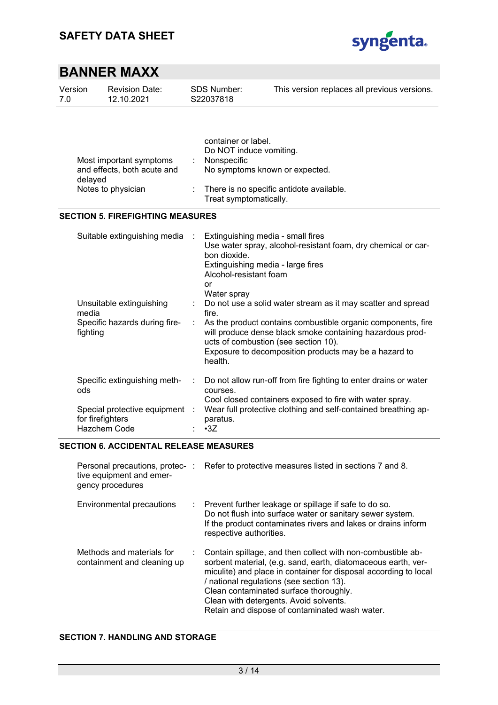

| Version<br>7.0                                                                          | <b>Revision Date:</b><br>12.10.2021                                                |   | SDS Number:<br>S22037818                                                                                                                                              | This version replaces all previous versions.                                                                                                                                                                                                                                               |  |
|-----------------------------------------------------------------------------------------|------------------------------------------------------------------------------------|---|-----------------------------------------------------------------------------------------------------------------------------------------------------------------------|--------------------------------------------------------------------------------------------------------------------------------------------------------------------------------------------------------------------------------------------------------------------------------------------|--|
| Most important symptoms<br>and effects, both acute and<br>delayed<br>Notes to physician |                                                                                    |   | container or label.<br>Do NOT induce vomiting.<br>Nonspecific<br>No symptoms known or expected.<br>There is no specific antidote available.<br>Treat symptomatically. |                                                                                                                                                                                                                                                                                            |  |
|                                                                                         | <b>SECTION 5. FIREFIGHTING MEASURES</b>                                            |   |                                                                                                                                                                       |                                                                                                                                                                                                                                                                                            |  |
|                                                                                         | Suitable extinguishing media                                                       |   | bon dioxide.<br>Alcohol-resistant foam<br>or<br>Water spray                                                                                                           | Extinguishing media - small fires<br>Use water spray, alcohol-resistant foam, dry chemical or car-<br>Extinguishing media - large fires                                                                                                                                                    |  |
| Unsuitable extinguishing<br>media<br>Specific hazards during fire-<br>fighting          |                                                                                    | ÷ | fire.<br>health.                                                                                                                                                      | Do not use a solid water stream as it may scatter and spread<br>As the product contains combustible organic components, fire<br>will produce dense black smoke containing hazardous prod-<br>ucts of combustion (see section 10).<br>Exposure to decomposition products may be a hazard to |  |
| ods                                                                                     | Specific extinguishing meth-<br>Special protective equipment :<br>for firefighters |   | courses.<br>paratus.                                                                                                                                                  | Do not allow run-off from fire fighting to enter drains or water<br>Cool closed containers exposed to fire with water spray.<br>Wear full protective clothing and self-contained breathing ap-                                                                                             |  |
|                                                                                         | Hazchem Code                                                                       |   | $-3Z$                                                                                                                                                                 |                                                                                                                                                                                                                                                                                            |  |

### **SECTION 6. ACCIDENTAL RELEASE MEASURES**

| tive equipment and emer-<br>gency procedures             | Personal precautions, protec-: Refer to protective measures listed in sections 7 and 8.                                                                                                                                                                                                                                                                                              |
|----------------------------------------------------------|--------------------------------------------------------------------------------------------------------------------------------------------------------------------------------------------------------------------------------------------------------------------------------------------------------------------------------------------------------------------------------------|
| Environmental precautions                                | : Prevent further leakage or spillage if safe to do so.<br>Do not flush into surface water or sanitary sewer system.<br>If the product contaminates rivers and lakes or drains inform<br>respective authorities.                                                                                                                                                                     |
| Methods and materials for<br>containment and cleaning up | : Contain spillage, and then collect with non-combustible ab-<br>sorbent material, (e.g. sand, earth, diatomaceous earth, ver-<br>miculite) and place in container for disposal according to local<br>/ national regulations (see section 13).<br>Clean contaminated surface thoroughly.<br>Clean with detergents. Avoid solvents.<br>Retain and dispose of contaminated wash water. |

### **SECTION 7. HANDLING AND STORAGE**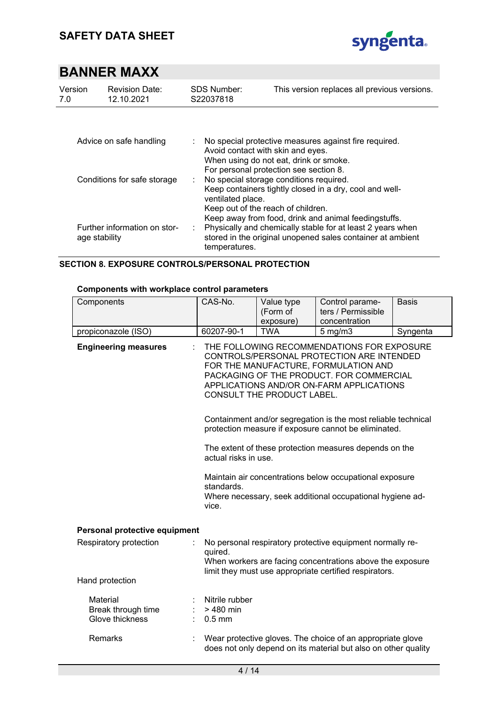

| Version<br>7.0              | SDS Number:<br><b>Revision Date:</b><br>12.10.2021<br>S22037818 |                                                               | This version replaces all previous versions.                                                                                                               |
|-----------------------------|-----------------------------------------------------------------|---------------------------------------------------------------|------------------------------------------------------------------------------------------------------------------------------------------------------------|
| Advice on safe handling     |                                                                 | ÷.<br>Avoid contact with skin and eyes.                       | No special protective measures against fire required.<br>When using do not eat, drink or smoke.<br>For personal protection see section 8.                  |
| Conditions for safe storage |                                                                 | ÷.<br>ventilated place.<br>Keep out of the reach of children. | No special storage conditions required.<br>Keep containers tightly closed in a dry, cool and well-<br>Keep away from food, drink and animal feedingstuffs. |
|                             | Further information on stor-<br>age stability                   | temperatures.                                                 | Physically and chemically stable for at least 2 years when<br>stored in the original unopened sales container at ambient                                   |

### **SECTION 8. EXPOSURE CONTROLS/PERSONAL PROTECTION**

#### **Components with workplace control parameters**

| Components                                        | CAS-No.                                                                                                                                                                                                                                               | Value type<br>(Form of | Control parame-<br>ters / Permissible                                                                                        | <b>Basis</b> |  |
|---------------------------------------------------|-------------------------------------------------------------------------------------------------------------------------------------------------------------------------------------------------------------------------------------------------------|------------------------|------------------------------------------------------------------------------------------------------------------------------|--------------|--|
|                                                   |                                                                                                                                                                                                                                                       | exposure)              | concentration                                                                                                                |              |  |
| propiconazole (ISO)                               | 60207-90-1                                                                                                                                                                                                                                            | <b>TWA</b>             | $5$ mg/m $3$                                                                                                                 | Syngenta     |  |
| <b>Engineering measures</b>                       | THE FOLLOWING RECOMMENDATIONS FOR EXPOSURE<br>CONTROLS/PERSONAL PROTECTION ARE INTENDED<br>FOR THE MANUFACTURE, FORMULATION AND<br>PACKAGING OF THE PRODUCT. FOR COMMERCIAL<br>APPLICATIONS AND/OR ON-FARM APPLICATIONS<br>CONSULT THE PRODUCT LABEL. |                        |                                                                                                                              |              |  |
|                                                   |                                                                                                                                                                                                                                                       |                        | Containment and/or segregation is the most reliable technical<br>protection measure if exposure cannot be eliminated.        |              |  |
|                                                   | The extent of these protection measures depends on the<br>actual risks in use.                                                                                                                                                                        |                        |                                                                                                                              |              |  |
|                                                   | Maintain air concentrations below occupational exposure<br>standards.<br>Where necessary, seek additional occupational hygiene ad-<br>vice.                                                                                                           |                        |                                                                                                                              |              |  |
| Personal protective equipment                     |                                                                                                                                                                                                                                                       |                        |                                                                                                                              |              |  |
| Respiratory protection                            | No personal respiratory protective equipment normally re-<br>quired.<br>When workers are facing concentrations above the exposure<br>limit they must use appropriate certified respirators.                                                           |                        |                                                                                                                              |              |  |
| Hand protection                                   |                                                                                                                                                                                                                                                       |                        |                                                                                                                              |              |  |
| Material<br>Break through time<br>Glove thickness | Nitrile rubber<br>> 480 min<br>$0.5$ mm                                                                                                                                                                                                               |                        |                                                                                                                              |              |  |
| Remarks                                           |                                                                                                                                                                                                                                                       |                        | Wear protective gloves. The choice of an appropriate glove<br>does not only depend on its material but also on other quality |              |  |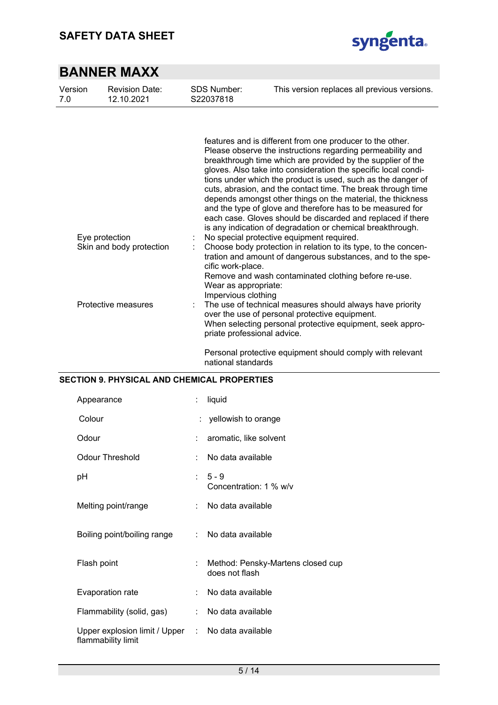

| Version<br>7.0                                                    | <b>Revision Date:</b><br>12.10.2021 | <b>SDS Number:</b><br>S22037818                                                                 | This version replaces all previous versions.                                                                                                                                                                                                                                                                                                                                                                                                                                                                                                                                                                                                                                                                                                                                                                                     |  |  |
|-------------------------------------------------------------------|-------------------------------------|-------------------------------------------------------------------------------------------------|----------------------------------------------------------------------------------------------------------------------------------------------------------------------------------------------------------------------------------------------------------------------------------------------------------------------------------------------------------------------------------------------------------------------------------------------------------------------------------------------------------------------------------------------------------------------------------------------------------------------------------------------------------------------------------------------------------------------------------------------------------------------------------------------------------------------------------|--|--|
|                                                                   |                                     |                                                                                                 |                                                                                                                                                                                                                                                                                                                                                                                                                                                                                                                                                                                                                                                                                                                                                                                                                                  |  |  |
| Eye protection<br>Skin and body protection<br>Protective measures |                                     |                                                                                                 | features and is different from one producer to the other.<br>Please observe the instructions regarding permeability and<br>breakthrough time which are provided by the supplier of the<br>gloves. Also take into consideration the specific local condi-<br>tions under which the product is used, such as the danger of<br>cuts, abrasion, and the contact time. The break through time<br>depends amongst other things on the material, the thickness<br>and the type of glove and therefore has to be measured for<br>each case. Gloves should be discarded and replaced if there<br>is any indication of degradation or chemical breakthrough.<br>No special protective equipment required.<br>Choose body protection in relation to its type, to the concen-<br>tration and amount of dangerous substances, and to the spe- |  |  |
|                                                                   |                                     | cific work-place.<br>Wear as appropriate:<br>Impervious clothing<br>priate professional advice. | Remove and wash contaminated clothing before re-use.<br>The use of technical measures should always have priority<br>over the use of personal protective equipment.<br>When selecting personal protective equipment, seek appro-                                                                                                                                                                                                                                                                                                                                                                                                                                                                                                                                                                                                 |  |  |
|                                                                   |                                     |                                                                                                 | Personal protective equipment should comply with relevant                                                                                                                                                                                                                                                                                                                                                                                                                                                                                                                                                                                                                                                                                                                                                                        |  |  |

Personal protective equipment should comply with relevant national standards

### **SECTION 9. PHYSICAL AND CHEMICAL PROPERTIES**

| Appearance                                            | t. | liquid                                              |
|-------------------------------------------------------|----|-----------------------------------------------------|
| Colour                                                |    | : yellowish to orange                               |
| Odour                                                 |    | aromatic, like solvent                              |
| <b>Odour Threshold</b>                                |    | No data available                                   |
| рH                                                    |    | $5 - 9$<br>Concentration: 1 % w/v                   |
| Melting point/range                                   | t. | No data available                                   |
| Boiling point/boiling range                           | t. | No data available                                   |
| Flash point                                           |    | Method: Pensky-Martens closed cup<br>does not flash |
| Evaporation rate                                      |    | No data available                                   |
| Flammability (solid, gas)                             | t. | No data available                                   |
| Upper explosion limit / Upper :<br>flammability limit |    | No data available                                   |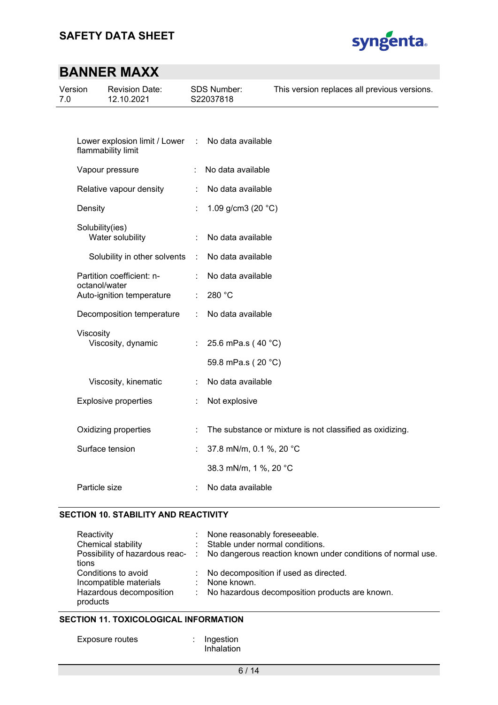

| Version<br>7.0 |                 | <b>Revision Date:</b><br>12.10.2021                 |          | <b>SDS Number:</b><br>S22037818 | This version replaces all previous versions.             |
|----------------|-----------------|-----------------------------------------------------|----------|---------------------------------|----------------------------------------------------------|
|                |                 |                                                     |          |                                 |                                                          |
|                |                 | Lower explosion limit / Lower<br>flammability limit | $\sim$ 1 | No data available               |                                                          |
|                |                 | Vapour pressure                                     |          | No data available               |                                                          |
|                |                 | Relative vapour density                             |          | No data available               |                                                          |
|                | Density         |                                                     | ł.       | 1.09 g/cm3 (20 $°C$ )           |                                                          |
|                | Solubility(ies) | Water solubility                                    |          | No data available               |                                                          |
|                |                 | Solubility in other solvents                        | ÷        | No data available               |                                                          |
|                | octanol/water   | Partition coefficient: n-                           |          | No data available               |                                                          |
|                |                 | Auto-ignition temperature                           |          | 280 °C                          |                                                          |
|                |                 | Decomposition temperature                           |          | No data available               |                                                          |
|                | Viscosity       | Viscosity, dynamic                                  |          | 25.6 mPa.s (40 °C)              |                                                          |
|                |                 |                                                     |          | 59.8 mPa.s (20 °C)              |                                                          |
|                |                 | Viscosity, kinematic                                |          | No data available               |                                                          |
|                |                 | <b>Explosive properties</b>                         |          | Not explosive                   |                                                          |
|                |                 | Oxidizing properties                                |          |                                 | The substance or mixture is not classified as oxidizing. |
|                |                 | Surface tension                                     |          | 37.8 mN/m, 0.1 %, 20 °C         |                                                          |
|                |                 |                                                     |          | 38.3 mN/m, 1 %, 20 °C           |                                                          |
|                | Particle size   |                                                     |          | No data available               |                                                          |

#### **SECTION 10. STABILITY AND REACTIVITY**

| Reactivity              | : None reasonably foreseeable.                                                               |
|-------------------------|----------------------------------------------------------------------------------------------|
| Chemical stability      | : Stable under normal conditions.                                                            |
|                         | Possibility of hazardous reac- : No dangerous reaction known under conditions of normal use. |
| tions                   |                                                                                              |
| Conditions to avoid     | : No decomposition if used as directed.                                                      |
| Incompatible materials  | : None known.                                                                                |
| Hazardous decomposition | : No hazardous decomposition products are known.                                             |
| products                |                                                                                              |

### **SECTION 11. TOXICOLOGICAL INFORMATION**

| Ingestion |
|-----------|
|           |

| Ingestion  |  |
|------------|--|
| Inhalation |  |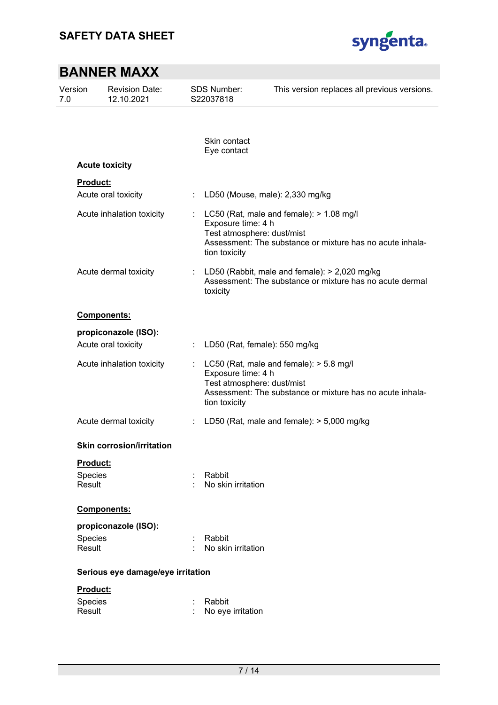

| Version<br>7.0    | <b>Revision Date:</b><br>12.10.2021 |   | <b>SDS Number:</b><br>S22037818                                   | This version replaces all previous versions.                                                                  |  |
|-------------------|-------------------------------------|---|-------------------------------------------------------------------|---------------------------------------------------------------------------------------------------------------|--|
|                   |                                     |   |                                                                   |                                                                                                               |  |
|                   |                                     |   | Skin contact<br>Eye contact                                       |                                                                                                               |  |
|                   | <b>Acute toxicity</b>               |   |                                                                   |                                                                                                               |  |
| Product:          |                                     |   |                                                                   |                                                                                                               |  |
|                   | Acute oral toxicity                 |   |                                                                   | LD50 (Mouse, male): 2,330 mg/kg                                                                               |  |
|                   | Acute inhalation toxicity           |   | Exposure time: 4 h<br>Test atmosphere: dust/mist<br>tion toxicity | LC50 (Rat, male and female): > 1.08 mg/l<br>Assessment: The substance or mixture has no acute inhala-         |  |
|                   | Acute dermal toxicity               |   | toxicity                                                          | : LD50 (Rabbit, male and female): $> 2,020$ mg/kg<br>Assessment: The substance or mixture has no acute dermal |  |
|                   | Components:                         |   |                                                                   |                                                                                                               |  |
|                   | propiconazole (ISO):                |   |                                                                   |                                                                                                               |  |
|                   | Acute oral toxicity                 | ÷ | LD50 (Rat, female): 550 mg/kg                                     |                                                                                                               |  |
|                   | Acute inhalation toxicity           |   | Exposure time: 4 h<br>Test atmosphere: dust/mist<br>tion toxicity | LC50 (Rat, male and female): > 5.8 mg/l<br>Assessment: The substance or mixture has no acute inhala-          |  |
|                   | Acute dermal toxicity               |   |                                                                   | : LD50 (Rat, male and female): $>$ 5,000 mg/kg                                                                |  |
|                   | <b>Skin corrosion/irritation</b>    |   |                                                                   |                                                                                                               |  |
| Product:          |                                     |   |                                                                   |                                                                                                               |  |
| Species<br>Result |                                     |   | Rabbit<br>No skin irritation                                      |                                                                                                               |  |
|                   | Components:                         |   |                                                                   |                                                                                                               |  |
|                   | propiconazole (ISO):                |   |                                                                   |                                                                                                               |  |
| Species<br>Result |                                     |   | Rabbit<br>No skin irritation                                      |                                                                                                               |  |
|                   | Serious eye damage/eye irritation   |   |                                                                   |                                                                                                               |  |
| Product:          |                                     |   |                                                                   |                                                                                                               |  |
| Species<br>Result |                                     |   | Rabbit<br>No eye irritation                                       |                                                                                                               |  |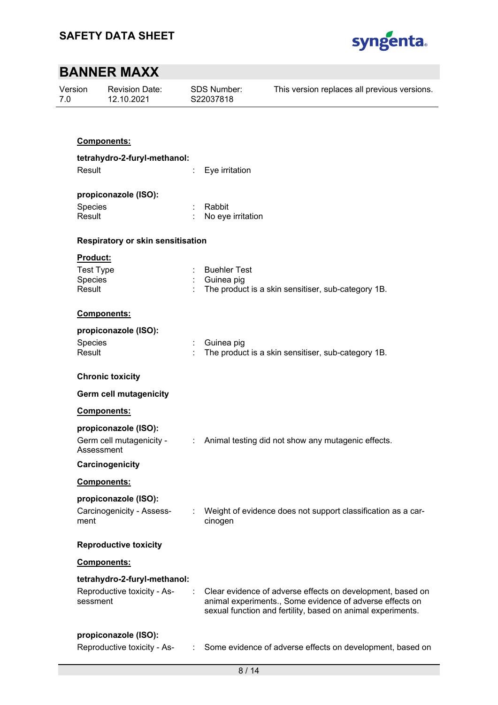

| Version<br>7.0 |                                          | Revision Date:<br>12.10.2021  |                | <b>SDS Number:</b><br>S22037818 | This version replaces all previous versions.                                                                           |  |  |  |
|----------------|------------------------------------------|-------------------------------|----------------|---------------------------------|------------------------------------------------------------------------------------------------------------------------|--|--|--|
|                |                                          |                               |                |                                 |                                                                                                                        |  |  |  |
|                |                                          | Components:                   |                |                                 |                                                                                                                        |  |  |  |
|                |                                          | tetrahydro-2-furyl-methanol:  |                |                                 |                                                                                                                        |  |  |  |
|                | Result                                   |                               |                | Eye irritation                  |                                                                                                                        |  |  |  |
|                |                                          | propiconazole (ISO):          |                |                                 |                                                                                                                        |  |  |  |
|                | Species                                  |                               |                | Rabbit                          |                                                                                                                        |  |  |  |
|                | Result                                   |                               |                | No eye irritation               |                                                                                                                        |  |  |  |
|                | <b>Respiratory or skin sensitisation</b> |                               |                |                                 |                                                                                                                        |  |  |  |
|                | <b>Product:</b>                          |                               |                |                                 |                                                                                                                        |  |  |  |
|                | <b>Test Type</b><br>Species              |                               |                | <b>Buehler Test</b>             |                                                                                                                        |  |  |  |
|                | Result                                   |                               |                | Guinea pig                      | The product is a skin sensitiser, sub-category 1B.                                                                     |  |  |  |
|                |                                          |                               |                |                                 |                                                                                                                        |  |  |  |
|                |                                          | Components:                   |                |                                 |                                                                                                                        |  |  |  |
|                |                                          | propiconazole (ISO):          |                |                                 |                                                                                                                        |  |  |  |
|                | Species<br>Result                        |                               |                | Guinea pig                      | The product is a skin sensitiser, sub-category 1B.                                                                     |  |  |  |
|                |                                          |                               |                |                                 |                                                                                                                        |  |  |  |
|                |                                          | <b>Chronic toxicity</b>       |                |                                 |                                                                                                                        |  |  |  |
|                |                                          | <b>Germ cell mutagenicity</b> |                |                                 |                                                                                                                        |  |  |  |
|                |                                          | Components:                   |                |                                 |                                                                                                                        |  |  |  |
|                |                                          | propiconazole (ISO):          |                |                                 |                                                                                                                        |  |  |  |
|                |                                          | Germ cell mutagenicity -      | $\mathbb{Z}^n$ |                                 | Animal testing did not show any mutagenic effects.                                                                     |  |  |  |
|                | Assessment                               |                               |                |                                 |                                                                                                                        |  |  |  |
|                |                                          | Carcinogenicity               |                |                                 |                                                                                                                        |  |  |  |
|                |                                          | Components:                   |                |                                 |                                                                                                                        |  |  |  |
|                |                                          | propiconazole (ISO):          |                |                                 |                                                                                                                        |  |  |  |
|                | ment                                     | Carcinogenicity - Assess-     |                | cinogen                         | Weight of evidence does not support classification as a car-                                                           |  |  |  |
|                |                                          |                               |                |                                 |                                                                                                                        |  |  |  |
|                |                                          | <b>Reproductive toxicity</b>  |                |                                 |                                                                                                                        |  |  |  |
|                |                                          | Components:                   |                |                                 |                                                                                                                        |  |  |  |
|                |                                          | tetrahydro-2-furyl-methanol:  |                |                                 |                                                                                                                        |  |  |  |
|                | sessment                                 | Reproductive toxicity - As-   |                |                                 | Clear evidence of adverse effects on development, based on<br>animal experiments., Some evidence of adverse effects on |  |  |  |
|                |                                          |                               |                |                                 | sexual function and fertility, based on animal experiments.                                                            |  |  |  |
|                |                                          |                               |                |                                 |                                                                                                                        |  |  |  |
|                |                                          | propiconazole (ISO):          |                |                                 |                                                                                                                        |  |  |  |
|                |                                          | Reproductive toxicity - As-   |                |                                 | Some evidence of adverse effects on development, based on                                                              |  |  |  |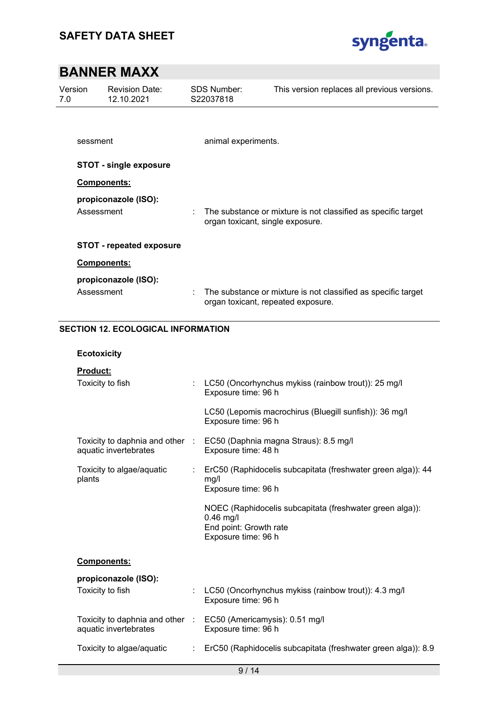

| Version<br>7.0 | <b>Revision Date:</b><br>12.10.2021       | <b>SDS Number:</b><br>S22037818 | This version replaces all previous versions.                                                        |
|----------------|-------------------------------------------|---------------------------------|-----------------------------------------------------------------------------------------------------|
| sessment       |                                           | animal experiments.             |                                                                                                     |
|                | <b>STOT - single exposure</b>             |                                 |                                                                                                     |
|                | Components:                               |                                 |                                                                                                     |
|                | propiconazole (ISO):<br>Assessment        |                                 | The substance or mixture is not classified as specific target<br>organ toxicant, single exposure.   |
|                | <b>STOT - repeated exposure</b>           |                                 |                                                                                                     |
|                | Components:                               |                                 |                                                                                                     |
|                | propiconazole (ISO):                      |                                 |                                                                                                     |
|                | Assessment                                |                                 | The substance or mixture is not classified as specific target<br>organ toxicant, repeated exposure. |
|                | <b>SECTION 12. ECOLOGICAL INFORMATION</b> |                                 |                                                                                                     |
|                | <b>Ecotoxicity</b>                        |                                 |                                                                                                     |

| <b>Product:</b>                           |  |                                                                                                                          |
|-------------------------------------------|--|--------------------------------------------------------------------------------------------------------------------------|
| Toxicity to fish                          |  | LC50 (Oncorhynchus mykiss (rainbow trout)): 25 mg/l<br>Exposure time: 96 h                                               |
|                                           |  | LC50 (Lepomis macrochirus (Bluegill sunfish)): 36 mg/l<br>Exposure time: 96 h                                            |
| aquatic invertebrates                     |  | Toxicity to daphnia and other : EC50 (Daphnia magna Straus): 8.5 mg/l<br>Exposure time: 48 h                             |
| Toxicity to algae/aquatic<br>÷.<br>plants |  | ErC50 (Raphidocelis subcapitata (freshwater green alga)): 44<br>mg/l<br>Exposure time: 96 h                              |
|                                           |  | NOEC (Raphidocelis subcapitata (freshwater green alga)):<br>$0.46$ mg/l<br>End point: Growth rate<br>Exposure time: 96 h |
| Components:                               |  |                                                                                                                          |
| propiconazole (ISO):                      |  |                                                                                                                          |
| Toxicity to fish                          |  | LC50 (Oncorhynchus mykiss (rainbow trout)): 4.3 mg/l<br>Exposure time: 96 h                                              |
| aquatic invertebrates                     |  | Toxicity to daphnia and other : EC50 (Americamysis): 0.51 mg/l<br>Exposure time: 96 h                                    |
| Toxicity to algae/aquatic                 |  | ErC50 (Raphidocelis subcapitata (freshwater green alga)): 8.9                                                            |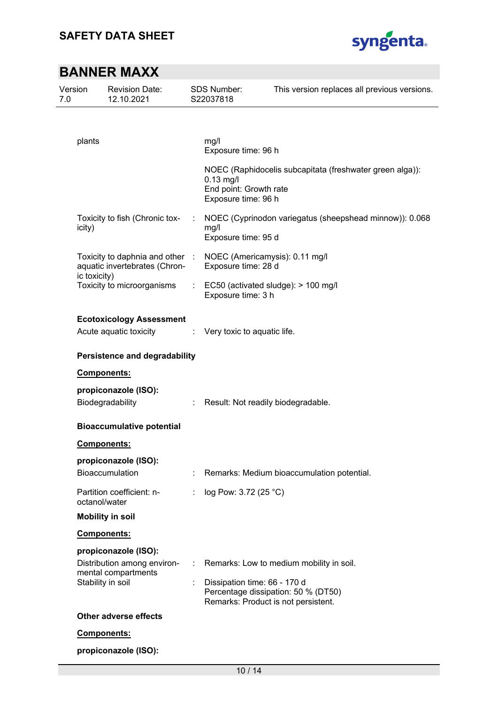

| Version<br>7.0 |                                      | <b>Revision Date:</b><br>12.10.2021                              |    | <b>SDS Number:</b><br>S22037818                                        | This version replaces all previous versions.             |  |
|----------------|--------------------------------------|------------------------------------------------------------------|----|------------------------------------------------------------------------|----------------------------------------------------------|--|
|                |                                      |                                                                  |    |                                                                        |                                                          |  |
|                | plants                               |                                                                  |    | mg/l<br>Exposure time: 96 h                                            |                                                          |  |
|                |                                      |                                                                  |    | $0.13$ mg/l<br>End point: Growth rate<br>Exposure time: 96 h           | NOEC (Raphidocelis subcapitata (freshwater green alga)): |  |
|                | icity)                               | Toxicity to fish (Chronic tox-                                   | ÷  | mg/l<br>Exposure time: 95 d                                            | NOEC (Cyprinodon variegatus (sheepshead minnow)): 0.068  |  |
|                |                                      | Toxicity to daphnia and other :<br>aquatic invertebrates (Chron- |    | NOEC (Americamysis): 0.11 mg/l<br>Exposure time: 28 d                  |                                                          |  |
|                | ic toxicity)                         | Toxicity to microorganisms                                       |    | $\therefore$ EC50 (activated sludge): > 100 mg/l<br>Exposure time: 3 h |                                                          |  |
|                |                                      | <b>Ecotoxicology Assessment</b><br>Acute aquatic toxicity        | ÷. | Very toxic to aquatic life.                                            |                                                          |  |
|                | <b>Persistence and degradability</b> |                                                                  |    |                                                                        |                                                          |  |
|                |                                      | Components:                                                      |    |                                                                        |                                                          |  |
|                |                                      | propiconazole (ISO):<br>Biodegradability                         |    | Result: Not readily biodegradable.                                     |                                                          |  |
|                |                                      | <b>Bioaccumulative potential</b>                                 |    |                                                                        |                                                          |  |
|                |                                      | <b>Components:</b>                                               |    |                                                                        |                                                          |  |
|                |                                      | propiconazole (ISO):<br><b>Bioaccumulation</b>                   |    |                                                                        | Remarks: Medium bioaccumulation potential.               |  |
|                | octanol/water                        | Partition coefficient: n-                                        |    | log Pow: 3.72 (25 °C)                                                  |                                                          |  |
|                |                                      | <b>Mobility in soil</b>                                          |    |                                                                        |                                                          |  |
|                |                                      | <b>Components:</b>                                               |    |                                                                        |                                                          |  |
|                | propiconazole (ISO):                 |                                                                  |    |                                                                        |                                                          |  |
|                |                                      | Distribution among environ-<br>mental compartments               |    |                                                                        | Remarks: Low to medium mobility in soil.                 |  |
|                | Stability in soil                    |                                                                  |    | Dissipation time: 66 - 170 d<br>Remarks: Product is not persistent.    | Percentage dissipation: 50 % (DT50)                      |  |
|                |                                      | Other adverse effects                                            |    |                                                                        |                                                          |  |
|                |                                      | Components:                                                      |    |                                                                        |                                                          |  |
|                |                                      | propiconazole (ISO):                                             |    |                                                                        |                                                          |  |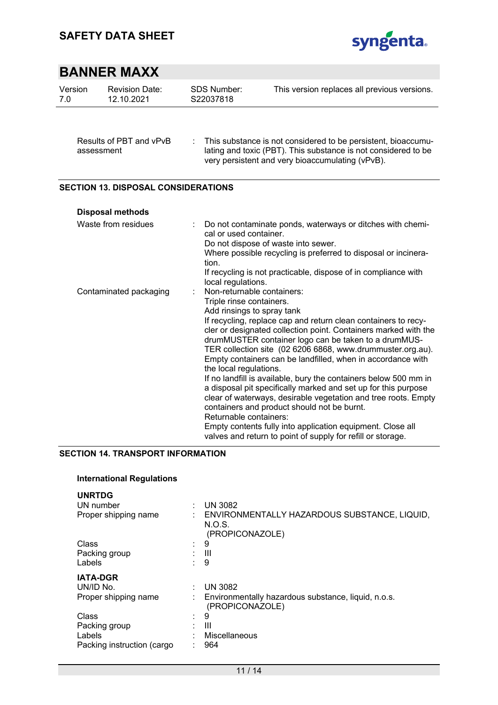

| Version<br>7.0 | <b>Revision Date:</b><br>12.10.2021        | <b>SDS Number:</b><br>S22037818                       | This version replaces all previous versions.                                                                                                                                                                                                                                                                                                                                                                                                                                                                                                                                                                                              |
|----------------|--------------------------------------------|-------------------------------------------------------|-------------------------------------------------------------------------------------------------------------------------------------------------------------------------------------------------------------------------------------------------------------------------------------------------------------------------------------------------------------------------------------------------------------------------------------------------------------------------------------------------------------------------------------------------------------------------------------------------------------------------------------------|
|                | Results of PBT and vPvB<br>assessment      |                                                       | This substance is not considered to be persistent, bioaccumu-<br>lating and toxic (PBT). This substance is not considered to be<br>very persistent and very bioaccumulating (vPvB).                                                                                                                                                                                                                                                                                                                                                                                                                                                       |
|                | <b>SECTION 13. DISPOSAL CONSIDERATIONS</b> |                                                       |                                                                                                                                                                                                                                                                                                                                                                                                                                                                                                                                                                                                                                           |
|                | <b>Disposal methods</b>                    |                                                       |                                                                                                                                                                                                                                                                                                                                                                                                                                                                                                                                                                                                                                           |
|                | Waste from residues                        | cal or used container.<br>tion.<br>local regulations. | Do not contaminate ponds, waterways or ditches with chemi-<br>Do not dispose of waste into sewer.<br>Where possible recycling is preferred to disposal or incinera-<br>If recycling is not practicable, dispose of in compliance with                                                                                                                                                                                                                                                                                                                                                                                                     |
|                | Contaminated packaging                     | Triple rinse containers.<br>the local regulations.    | Non-returnable containers:<br>Add rinsings to spray tank<br>If recycling, replace cap and return clean containers to recy-<br>cler or designated collection point. Containers marked with the<br>drumMUSTER container logo can be taken to a drumMUS-<br>TER collection site (02 6206 6868, www.drummuster.org.au).<br>Empty containers can be landfilled, when in accordance with<br>If no landfill is available, bury the containers below 500 mm in<br>a disposal pit specifically marked and set up for this purpose<br>clear of waterways, desirable vegetation and tree roots. Empty<br>containers and product should not be burnt. |

Returnable containers:

Empty contents fully into application equipment. Close all valves and return to point of supply for refill or storage.

#### **SECTION 14. TRANSPORT INFORMATION**

### **International Regulations**

| <b>UNRTDG</b><br>UN number<br>Proper shipping name |                             | UN 3082<br>ENVIRONMENTALLY HAZARDOUS SUBSTANCE, LIQUID,<br>N.O.S.<br>(PROPICONAZOLE) |
|----------------------------------------------------|-----------------------------|--------------------------------------------------------------------------------------|
| Class                                              | $\sim$                      | 9                                                                                    |
| Packing group                                      |                             | $\mathbf{III}$                                                                       |
| Labels                                             | $\sim$                      | 9                                                                                    |
| <b>IATA-DGR</b>                                    |                             |                                                                                      |
| UN/ID No.                                          |                             | <b>UN 3082</b>                                                                       |
| Proper shipping name                               |                             | Environmentally hazardous substance, liquid, n.o.s.<br>(PROPICONAZOLE)               |
| <b>Class</b>                                       | $\mathcal{L}_{\mathcal{A}}$ | 9                                                                                    |
| Packing group                                      |                             | Ш                                                                                    |
| Labels                                             |                             | Miscellaneous                                                                        |
| Packing instruction (cargo                         |                             | 964                                                                                  |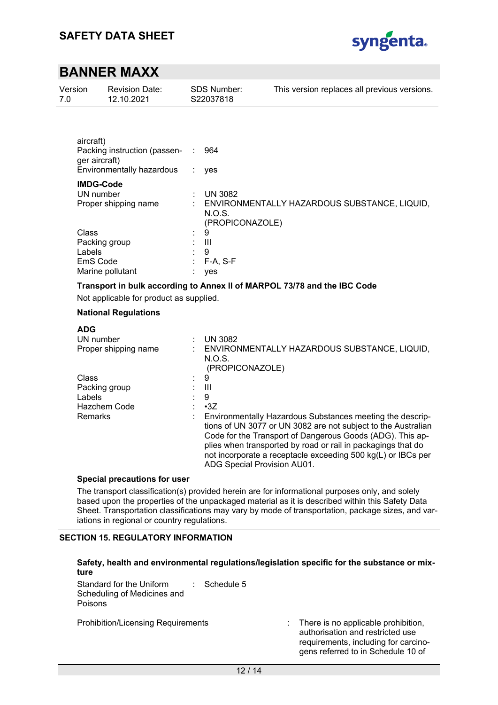

| Version<br>7.0                                                                                  | <b>Revision Date:</b><br>12.10.2021                                               | SDS Number:<br>S22037818                                                                   | This version replaces all previous versions.                                                                                                                                                                                                                                                                            |
|-------------------------------------------------------------------------------------------------|-----------------------------------------------------------------------------------|--------------------------------------------------------------------------------------------|-------------------------------------------------------------------------------------------------------------------------------------------------------------------------------------------------------------------------------------------------------------------------------------------------------------------------|
| aircraft)<br>ger aircraft)<br><b>IMDG-Code</b><br>UN number<br>Class<br>Packing group<br>Labels | Packing instruction (passen-<br>Environmentally hazardous<br>Proper shipping name | 964<br>÷<br>yes<br><b>UN 3082</b><br>N.O.S.<br>(PROPICONAZOLE)<br>9<br>$\mathbf{III}$<br>9 | ENVIRONMENTALLY HAZARDOUS SUBSTANCE, LIQUID,                                                                                                                                                                                                                                                                            |
| EmS Code                                                                                        | Marine pollutant                                                                  | F-A, S-F<br>yes                                                                            |                                                                                                                                                                                                                                                                                                                         |
|                                                                                                 | Not applicable for product as supplied.<br><b>National Regulations</b>            |                                                                                            | Transport in bulk according to Annex II of MARPOL 73/78 and the IBC Code                                                                                                                                                                                                                                                |
| <b>ADG</b><br>UN number                                                                         | Proper shipping name                                                              | <b>UN 3082</b><br>N.O.S.                                                                   | ENVIRONMENTALLY HAZARDOUS SUBSTANCE, LIQUID,                                                                                                                                                                                                                                                                            |
| Class<br>Packing group<br>Labels<br>Remarks                                                     | Hazchem Code                                                                      | (PROPICONAZOLE)<br>9<br>III<br>9<br>$-3Z$<br>ADG Special Provision AU01.                   | Environmentally Hazardous Substances meeting the descrip-<br>tions of UN 3077 or UN 3082 are not subject to the Australian<br>Code for the Transport of Dangerous Goods (ADG). This ap-<br>plies when transported by road or rail in packagings that do<br>not incorporate a receptacle exceeding 500 kg(L) or IBCs per |

The transport classification(s) provided herein are for informational purposes only, and solely based upon the properties of the unpackaged material as it is described within this Safety Data Sheet. Transportation classifications may vary by mode of transportation, package sizes, and variations in regional or country regulations.

### **SECTION 15. REGULATORY INFORMATION**

### **Safety, health and environmental regulations/legislation specific for the substance or mixture**

Standard for the Uniform Scheduling of Medicines and Poisons : Schedule 5

Prohibition/Licensing Requirements : There is no applicable prohibition,

authorisation and restricted use requirements, including for carcinogens referred to in Schedule 10 of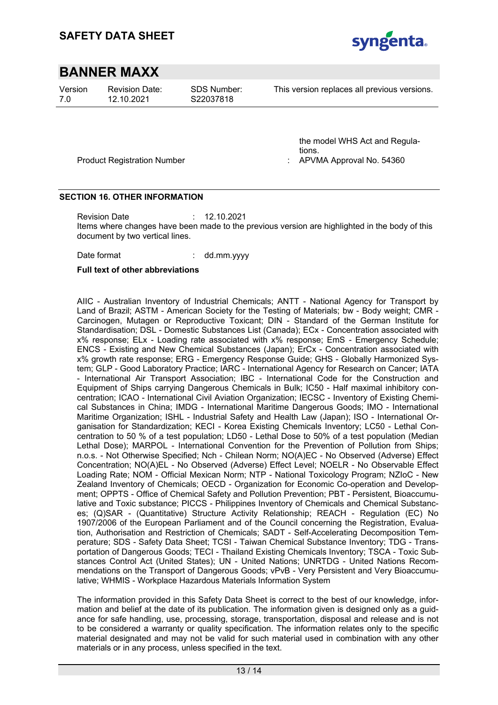

Version 7.0

Revision Date: 12.10.2021

SDS Number: S22037818

This version replaces all previous versions.

Product Registration Number : APVMA Approval No. 543600 and 134360 and 134360 and 134360 and 13560 million of the APVM

the model WHS Act and Regulations.<br>APVMA Approval No. 54360

#### **SECTION 16. OTHER INFORMATION**

Revision Date : 12.10.2021 Items where changes have been made to the previous version are highlighted in the body of this document by two vertical lines.

Date format : dd.mm.yyyy

#### **Full text of other abbreviations**

AIIC - Australian Inventory of Industrial Chemicals; ANTT - National Agency for Transport by Land of Brazil; ASTM - American Society for the Testing of Materials; bw - Body weight; CMR - Carcinogen, Mutagen or Reproductive Toxicant; DIN - Standard of the German Institute for Standardisation; DSL - Domestic Substances List (Canada); ECx - Concentration associated with x% response; ELx - Loading rate associated with x% response; EmS - Emergency Schedule; ENCS - Existing and New Chemical Substances (Japan); ErCx - Concentration associated with x% growth rate response; ERG - Emergency Response Guide; GHS - Globally Harmonized System; GLP - Good Laboratory Practice; IARC - International Agency for Research on Cancer; IATA - International Air Transport Association; IBC - International Code for the Construction and Equipment of Ships carrying Dangerous Chemicals in Bulk; IC50 - Half maximal inhibitory concentration; ICAO - International Civil Aviation Organization; IECSC - Inventory of Existing Chemical Substances in China; IMDG - International Maritime Dangerous Goods; IMO - International Maritime Organization; ISHL - Industrial Safety and Health Law (Japan); ISO - International Organisation for Standardization; KECI - Korea Existing Chemicals Inventory; LC50 - Lethal Concentration to 50 % of a test population; LD50 - Lethal Dose to 50% of a test population (Median Lethal Dose); MARPOL - International Convention for the Prevention of Pollution from Ships; n.o.s. - Not Otherwise Specified; Nch - Chilean Norm; NO(A)EC - No Observed (Adverse) Effect Concentration; NO(A)EL - No Observed (Adverse) Effect Level; NOELR - No Observable Effect Loading Rate; NOM - Official Mexican Norm; NTP - National Toxicology Program; NZIoC - New Zealand Inventory of Chemicals; OECD - Organization for Economic Co-operation and Development; OPPTS - Office of Chemical Safety and Pollution Prevention; PBT - Persistent, Bioaccumulative and Toxic substance; PICCS - Philippines Inventory of Chemicals and Chemical Substances; (Q)SAR - (Quantitative) Structure Activity Relationship; REACH - Regulation (EC) No 1907/2006 of the European Parliament and of the Council concerning the Registration, Evaluation, Authorisation and Restriction of Chemicals; SADT - Self-Accelerating Decomposition Temperature; SDS - Safety Data Sheet; TCSI - Taiwan Chemical Substance Inventory; TDG - Transportation of Dangerous Goods; TECI - Thailand Existing Chemicals Inventory; TSCA - Toxic Substances Control Act (United States); UN - United Nations; UNRTDG - United Nations Recommendations on the Transport of Dangerous Goods; vPvB - Very Persistent and Very Bioaccumulative; WHMIS - Workplace Hazardous Materials Information System

The information provided in this Safety Data Sheet is correct to the best of our knowledge, information and belief at the date of its publication. The information given is designed only as a guidance for safe handling, use, processing, storage, transportation, disposal and release and is not to be considered a warranty or quality specification. The information relates only to the specific material designated and may not be valid for such material used in combination with any other materials or in any process, unless specified in the text.